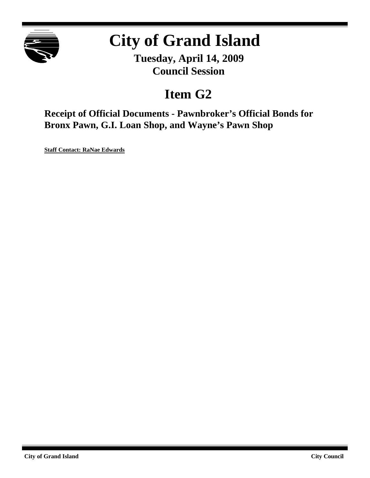

# **City of Grand Island**

**Tuesday, April 14, 2009 Council Session**

## **Item G2**

**Receipt of Official Documents - Pawnbroker's Official Bonds for Bronx Pawn, G.I. Loan Shop, and Wayne's Pawn Shop**

**Staff Contact: RaNae Edwards**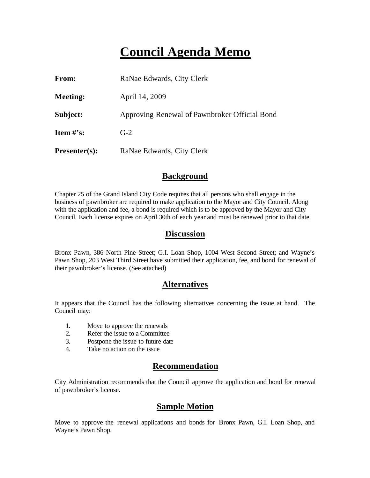## **Council Agenda Memo**

| From:           | RaNae Edwards, City Clerk                     |
|-----------------|-----------------------------------------------|
| <b>Meeting:</b> | April 14, 2009                                |
| Subject:        | Approving Renewal of Pawnbroker Official Bond |
| Item $#$ 's:    | $G-2$                                         |
| $Presenter(s):$ | RaNae Edwards, City Clerk                     |

### **Background**

Chapter 25 of the Grand Island City Code requires that all persons who shall engage in the business of pawnbroker are required to make application to the Mayor and City Council. Along with the application and fee, a bond is required which is to be approved by the Mayor and City Council. Each license expires on April 30th of each year and must be renewed prior to that date.

### **Discussion**

Bronx Pawn, 386 North Pine Street; G.I. Loan Shop, 1004 West Second Street; and Wayne's Pawn Shop, 203 West Third Street have submitted their application, fee, and bond for renewal of their pawnbroker's license. (See attached)

## **Alternatives**

It appears that the Council has the following alternatives concerning the issue at hand. The Council may:

- 1. Move to approve the renewals
- 2. Refer the issue to a Committee
- 3. Postpone the issue to future date
- 4. Take no action on the issue

## **Recommendation**

City Administration recommends that the Council approve the application and bond for renewal of pawnbroker's license.

## **Sample Motion**

Move to approve the renewal applications and bonds for Bronx Pawn, G.I. Loan Shop, and Wayne's Pawn Shop.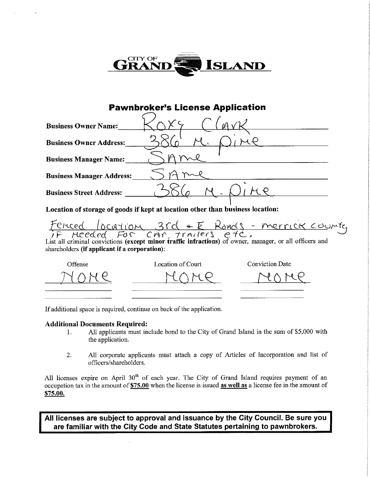

## **Pawnbroker's License Application**

| <b>Business Owner Name:</b>      |  |
|----------------------------------|--|
| <b>Business Owner Address:</b>   |  |
| <b>Business Manager Name:</b>    |  |
| <b>Business Manager Address:</b> |  |
| <b>Business Street Address:</b>  |  |

Location of storage of goods if kept at location other than business location:

Ferced location 3rd + E Ronds - merrick counter<br>IF Meeded FOR CMR Trailers etc.

shareholders (if applicant if a corporation):

| Offense          | Location of Court | Conviction Date |
|------------------|-------------------|-----------------|
| ________________ | -----             | .               |
|                  |                   |                 |

If additional space is required, continue on back of the application.

#### **Additional Documents Required:**

- All applicants must include bond to the City of Grand Island in the sum of \$5,000 with 1. the application.
- All corporate applicants must attach a copy of Articles of Incorporation and list of  $\overline{2}$ . officers/shareholders.

All licenses expire on April 30<sup>th</sup> of each year. The City of Grand Island requires payment of an occupation tax in the amount of \$75.00 when the license is issued as well as a license fee in the amount of \$75.00.

All licenses are subject to approval and issuance by the City Council. Be sure you are familiar with the City Code and State Statutes pertaining to pawnbrokers.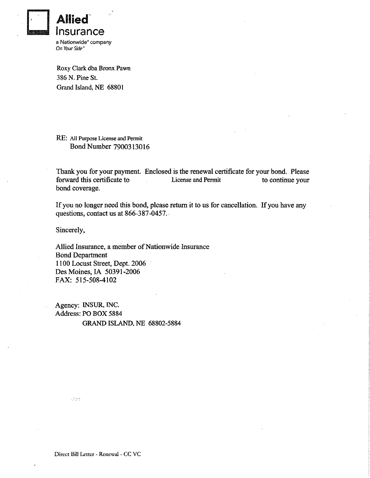

Roxy Clark dba Bronx Pawn 386 N. Pine St. Grand Island, NE 68801

RE: All Purpose License and Permit Bond Number 7900313016

Thank you for your payment. Enclosed is the renewal certificate for your bond. Please forward this certificate to License and Permit to continue your bond coverage.

If you no longer need this bond, please return it to us for cancellation. If you have any questions, contact us at 866-387-0457.

Sincerely,

Allied Insurance, a member of Nationwide Insurance **Bond Department** 1100 Locust Street, Dept. 2006 Des Moines, IA 50391-2006 FAX: 515-508-4102

Agency: INSUR, INC. Address: PO BOX 5884 **GRAND ISLAND, NE 68802-5884** 

 $\sqrt{2} \pi t$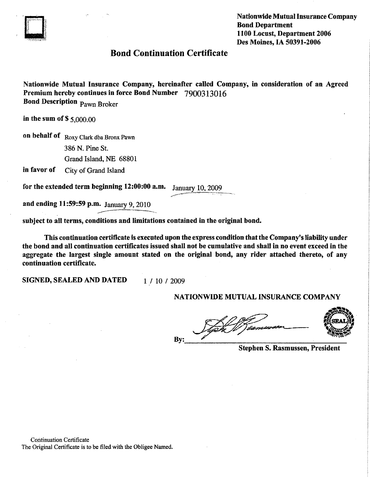

**Nationwide Mutual Insurance Company Bond Department** 1100 Locust, Department 2006 Des Moines. IA 50391-2006

### **Bond Continuation Certificate**

Nationwide Mutual Insurance Company, hereinafter called Company, in consideration of an Agreed Premium hereby continues in force Bond Number 7900313016 **Bond Description Pawn Broker** 

in the sum of  $$5,000,00$ 

on behalf of Roxy Clark dba Bronx Pawn 386 N. Pine St. Grand Island, NE 68801

in favor of City of Grand Island

for the extended term beginning 12:00:00 a.m. January 10, 2009

and ending 11:59:59 p.m. January 9, 2010

subject to all terms, conditions and limitations contained in the original bond.

This continuation certificate is executed upon the express condition that the Company's liability under the bond and all continuation certificates issued shall not be cumulative and shall in no event exceed in the aggregate the largest single amount stated on the original bond, any rider attached thereto, of any continuation certificate.

SIGNED, SEALED AND DATED

1 / 10 / 2009

#### NATIONWIDE MUTUAL INSURANCE COMPANY

By:



**Stephen S. Rasmussen, President** 

**Continuation Certificate** The Original Certificate is to be filed with the Obligee Named.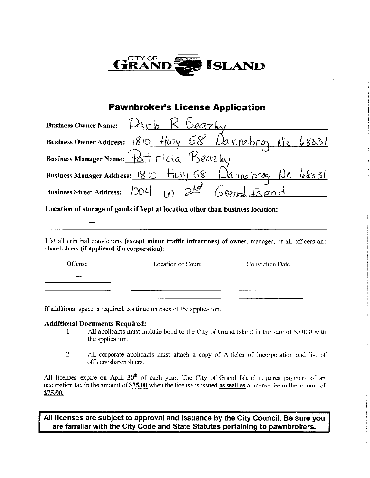

## **Pawnbroker's License Application**

| Business Owner Name: $\mathcal{L}_{\text{Prb}}$ $\mathcal{R}$ $\mathcal{L}_{\text{PQ7}}$ |  |  |
|------------------------------------------------------------------------------------------|--|--|
| Business Owner Address: 1810 Hwy 58 Dannebrog Ne 68831                                   |  |  |
| Business Manager Name: Patricia Beazley                                                  |  |  |
| Business Manager Address: $80$ Husy 58 Danne brog Ne 68831                               |  |  |
| Business Street Address: $1004$ (e) $2^{101}$ Grand Island                               |  |  |

Location of storage of goods if kept at location other than business location:

List all criminal convictions (except minor traffic infractions) of owner, manager, or all officers and shareholders (if applicant if a corporation):

| Offense | Location of Court | <b>Conviction Date</b>    |
|---------|-------------------|---------------------------|
|         | ---------------   |                           |
| _______ |                   |                           |
|         |                   | ------------------------- |

If additional space is required, continue on back of the application.

#### **Additional Documents Required:**

- All applicants must include bond to the City of Grand Island in the sum of \$5,000 with 1. the application.
- $\overline{2}$ . All corporate applicants must attach a copy of Articles of Incorporation and list of officers/shareholders.

All licenses expire on April 30<sup>th</sup> of each year. The City of Grand Island requires payment of an occupation tax in the amount of \$75.00 when the license is issued as well as a license fee in the amount of \$75.00.

All licenses are subject to approval and issuance by the City Council. Be sure you are familiar with the City Code and State Statutes pertaining to pawnbrokers.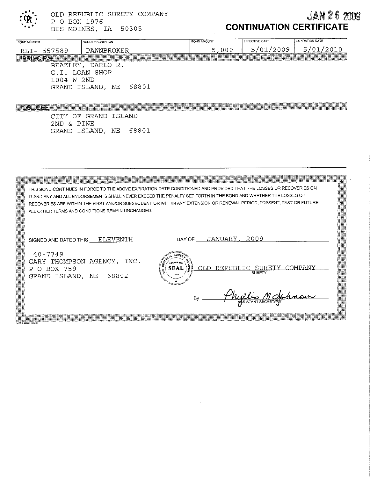OLD REPUBLIC SURETY COMPANY P O BOX 1976

DES MOINES, IA 50305

## **JAN 26 2009 CONTINUATION CERTIFICATE**

| <b>BOND NUMBER</b> | <b>BOND DESCRIPTION</b>   | <b>BOND AMOUNT</b> | <b>EFFECTIVE DATE</b> | <b>EXPIRATION DATE</b> |
|--------------------|---------------------------|--------------------|-----------------------|------------------------|
| 557589<br>RLI-     | PAWNBROKER                | 5,000              | 5/01/2009             | 01/2010<br>5/          |
|                    |                           |                    |                       |                        |
|                    | BEAZLEY, DARLO R.         |                    |                       |                        |
|                    | G.I. LOAN SHOP            |                    |                       |                        |
| 1004               | W 2ND                     |                    |                       |                        |
|                    | 68801<br>GRAND ISLAND, NE |                    |                       |                        |
|                    |                           |                    |                       |                        |
|                    |                           |                    |                       |                        |

CITY OF GRAND ISLAND 2ND & PINE GRAND ISLAND, NE 68801

THIS BOND CONTINUES IN FORCE TO THE ABOVE EXPIRATION DATE CONDITIONED AND PROVIDED THAT THE LOSSES OR RECOVERIES ON IT AND ANY AND ALL ENDORSEMENTS SHALL NEVER EXCEED THE PENALTY SET FORTH IN THE BOND AND WHETHER THE LOSSES OR RECOVERIES ARE WITHIN THE FIRST AND/OR SUBSEQUENT OR WITHIN ANY EXTENSION OR RENEWAL PERIOD, PRESENT, PAST OR FUTURE. ALL OTHER TERMS AND CONDITIONS REMAIN UNCHANGED.

**SEAL** 

SIGNED AND DATED THIS ELEVENTH

DAY OF \_\_\_\_ JANUARY ,\_\_ 2009

 $40 - 7749$ GARY THOMPSON AGENCY, INC. P O BOX 759 GRAND ISLAND, NE 68802

REPUBLIC SURETY OLD. SURFT

*<u>UNCLIGO MO</u>* By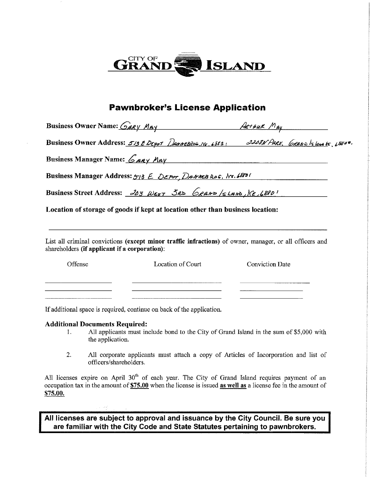

## **Pawnbroker's License Application**

Business Owner Name:  $G$ ary  $M_{AY}$  Ary Art Art Aux  $M_{AY}$ Business Owner Address: 513 E DEPOT DANNEBROG, Nr. 6883 1 3208N PARK. CRAND 15 lang 15, 68600. Business Manager Name: *GRRY MRY* Business Manager Address:  $5/3$  E DEPOT DANNER ROG, Ne. 68831 Business Street Address:  $268$  WEST  $\delta$ RD  $6$ RAND  $/6$  LAND,  $N_{\epsilon}/6880$ 

Location of storage of goods if kept at location other than business location:

List all criminal convictions (except minor traffic infractions) of owner, manager, or all officers and shareholders (if applicant if a corporation):

| Offense | Location of Court | <b>Conviction Date</b> |
|---------|-------------------|------------------------|
|         |                   |                        |
|         |                   |                        |
|         |                   |                        |

If additional space is required, continue on back of the application.

#### **Additional Documents Required:**

- All applicants must include bond to the City of Grand Island in the sum of \$5,000 with  $\mathbf{1}$ . the application.
- All corporate applicants must attach a copy of Articles of Incorporation and list of  $2.$ officers/shareholders.

All licenses expire on April 30<sup>th</sup> of each year. The City of Grand Island requires payment of an occupation tax in the amount of \$75.00 when the license is issued as well as a license fee in the amount of \$75.00.

All licenses are subject to approval and issuance by the City Council. Be sure you are familiar with the City Code and State Statutes pertaining to pawnbrokers.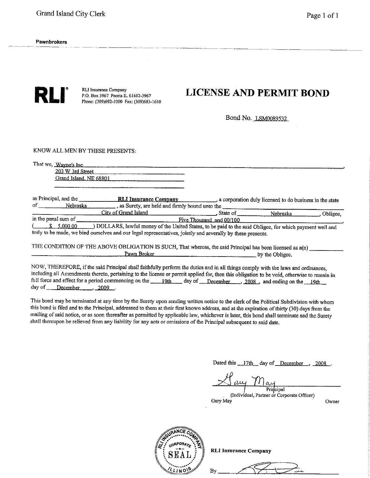

RLI Insurance Company P.O. Box 3967 Peoria IL 61612-3967 Phone: (309)692-1000 Fax: (309)683-1610

## **LICENSE AND PERMIT BOND**

Bond No. LSM0089532

KNOW ALL MEN BY THESE PRESENTS:

That we, Wayne's Inc.

203 W 3rd Street Grand Island, NE 68801

as Principal, and the **RLI Insurance Company** , a corporation duly licensed to do business in the state  $\overline{\phantom{a}}$ , as Surety, are held and firmly bound unto the of Nebraska City of Grand Island State of Mahaaalee  $QLU = 0$ 

| _______ |                     |                                                                                                        |                          | INCURASKA | ODHECC. |
|---------|---------------------|--------------------------------------------------------------------------------------------------------|--------------------------|-----------|---------|
|         | in the penal sum of |                                                                                                        | Five Thousand and 00/100 |           |         |
|         | 5.000.00            | DOLLARS, lawful money of the United States, to be paid to the said Obligee, for which payment upll and |                          |           |         |

) the said Obligee, for which payment well and truly to be made, we bind ourselves and our legal representatives, jointly and severally by these presents.

THE CONDITION OF THE ABOVE OBLIGATION IS SUCH, That whereas, the said Principal has been licensed as a(n) Pawn Broker by the Obligee.

NOW, THEREFORE, if the said Principal shall faithfully perform the duties and in all things comply with the laws and ordinances, including all Amendments thereto, pertaining to the license or permit applied for, then this obligation to be void, otherwise to remain in day of December 2009

This bond may be terminated at any time by the Surety upon sending written notice to the clerk of the Political Subdivision with whom this bond is filed and to the Principal, addressed to them at their first known address, and at the expiration of thirty (30) days from the mailing of said notice, or as soon thereafter as permitted by applicable law, whichever is later, this bond shall terminate and the Surety shall thereupon be relieved from any liability for any acts or omissions of the Principal subsequent to said date.

Dated this 17th day of December , 2008.

Principal

(Individual, Partner or Corporate Officer) Gary May

Owner



**RLI Insurance Company** 

Bγ